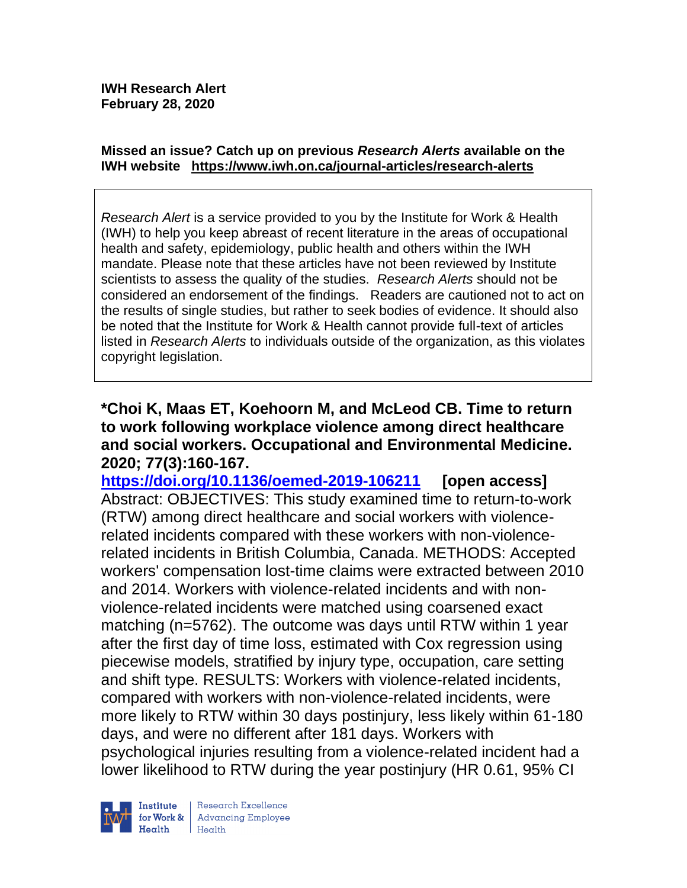#### **Missed an issue? Catch up on previous** *Research Alerts* **available on the [IWH website](http://www.iwh.on.ca/research-alerts) <https://www.iwh.on.ca/journal-articles/research-alerts>**

*Research Alert* is a service provided to you by the Institute for Work & Health (IWH) to help you keep abreast of recent literature in the areas of occupational health and safety, epidemiology, public health and others within the IWH mandate. Please note that these articles have not been reviewed by Institute scientists to assess the quality of the studies. *Research Alerts* should not be considered an endorsement of the findings. Readers are cautioned not to act on the results of single studies, but rather to seek bodies of evidence. It should also be noted that the Institute for Work & Health cannot provide full-text of articles listed in *Research Alerts* to individuals outside of the organization, as this violates copyright legislation.

**\*Choi K, Maas ET, Koehoorn M, and McLeod CB. Time to return to work following workplace violence among direct healthcare and social workers. Occupational and Environmental Medicine. 2020; 77(3):160-167.** 

**<https://doi.org/10.1136/oemed-2019-106211> [open access]** Abstract: OBJECTIVES: This study examined time to return-to-work (RTW) among direct healthcare and social workers with violencerelated incidents compared with these workers with non-violencerelated incidents in British Columbia, Canada. METHODS: Accepted workers' compensation lost-time claims were extracted between 2010 and 2014. Workers with violence-related incidents and with nonviolence-related incidents were matched using coarsened exact matching (n=5762). The outcome was days until RTW within 1 year after the first day of time loss, estimated with Cox regression using piecewise models, stratified by injury type, occupation, care setting and shift type. RESULTS: Workers with violence-related incidents, compared with workers with non-violence-related incidents, were more likely to RTW within 30 days postinjury, less likely within 61-180 days, and were no different after 181 days. Workers with psychological injuries resulting from a violence-related incident had a lower likelihood to RTW during the year postinjury (HR 0.61, 95% CI

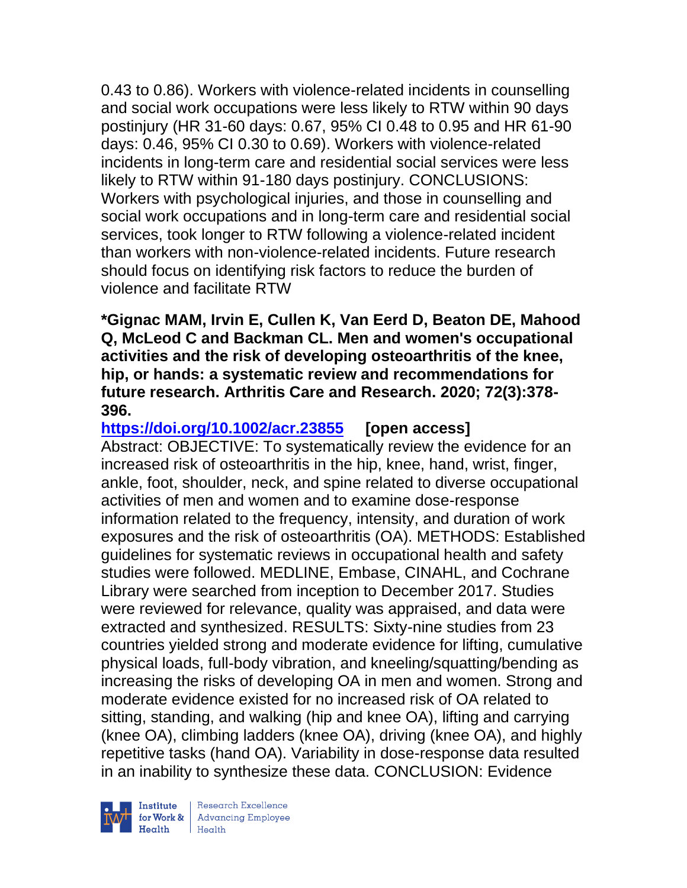0.43 to 0.86). Workers with violence-related incidents in counselling and social work occupations were less likely to RTW within 90 days postinjury (HR 31-60 days: 0.67, 95% CI 0.48 to 0.95 and HR 61-90 days: 0.46, 95% CI 0.30 to 0.69). Workers with violence-related incidents in long-term care and residential social services were less likely to RTW within 91-180 days postinjury. CONCLUSIONS: Workers with psychological injuries, and those in counselling and social work occupations and in long-term care and residential social services, took longer to RTW following a violence-related incident than workers with non-violence-related incidents. Future research should focus on identifying risk factors to reduce the burden of violence and facilitate RTW

**\*Gignac MAM, Irvin E, Cullen K, Van Eerd D, Beaton DE, Mahood Q, McLeod C and Backman CL. Men and women's occupational activities and the risk of developing osteoarthritis of the knee, hip, or hands: a systematic review and recommendations for future research. Arthritis Care and Research. 2020; 72(3):378- 396.** 

**<https://doi.org/10.1002/acr.23855> [open access]** Abstract: OBJECTIVE: To systematically review the evidence for an increased risk of osteoarthritis in the hip, knee, hand, wrist, finger, ankle, foot, shoulder, neck, and spine related to diverse occupational activities of men and women and to examine dose-response information related to the frequency, intensity, and duration of work exposures and the risk of osteoarthritis (OA). METHODS: Established guidelines for systematic reviews in occupational health and safety studies were followed. MEDLINE, Embase, CINAHL, and Cochrane Library were searched from inception to December 2017. Studies were reviewed for relevance, quality was appraised, and data were extracted and synthesized. RESULTS: Sixty-nine studies from 23 countries yielded strong and moderate evidence for lifting, cumulative physical loads, full-body vibration, and kneeling/squatting/bending as increasing the risks of developing OA in men and women. Strong and moderate evidence existed for no increased risk of OA related to sitting, standing, and walking (hip and knee OA), lifting and carrying (knee OA), climbing ladders (knee OA), driving (knee OA), and highly repetitive tasks (hand OA). Variability in dose-response data resulted in an inability to synthesize these data. CONCLUSION: Evidence



| Research Excellence for Work & Advancing Employee<br>Health Health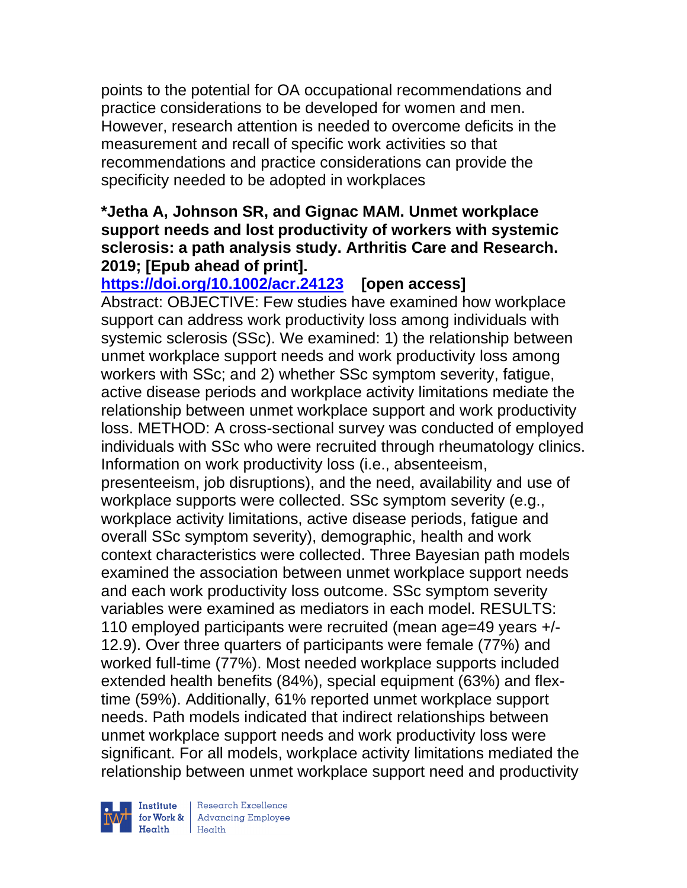points to the potential for OA occupational recommendations and practice considerations to be developed for women and men. However, research attention is needed to overcome deficits in the measurement and recall of specific work activities so that recommendations and practice considerations can provide the specificity needed to be adopted in workplaces

# **\*Jetha A, Johnson SR, and Gignac MAM. Unmet workplace support needs and lost productivity of workers with systemic sclerosis: a path analysis study. Arthritis Care and Research. 2019; [Epub ahead of print].**

**<https://doi.org/10.1002/acr.24123>[open access]** 

Abstract: OBJECTIVE: Few studies have examined how workplace support can address work productivity loss among individuals with systemic sclerosis (SSc). We examined: 1) the relationship between unmet workplace support needs and work productivity loss among workers with SSc; and 2) whether SSc symptom severity, fatigue, active disease periods and workplace activity limitations mediate the relationship between unmet workplace support and work productivity loss. METHOD: A cross-sectional survey was conducted of employed individuals with SSc who were recruited through rheumatology clinics. Information on work productivity loss (i.e., absenteeism, presenteeism, job disruptions), and the need, availability and use of workplace supports were collected. SSc symptom severity (e.g., workplace activity limitations, active disease periods, fatigue and overall SSc symptom severity), demographic, health and work context characteristics were collected. Three Bayesian path models examined the association between unmet workplace support needs and each work productivity loss outcome. SSc symptom severity variables were examined as mediators in each model. RESULTS: 110 employed participants were recruited (mean age=49 years +/- 12.9). Over three quarters of participants were female (77%) and worked full-time (77%). Most needed workplace supports included extended health benefits (84%), special equipment (63%) and flextime (59%). Additionally, 61% reported unmet workplace support needs. Path models indicated that indirect relationships between unmet workplace support needs and work productivity loss were significant. For all models, workplace activity limitations mediated the relationship between unmet workplace support need and productivity



| Research Excellence for Work & Advancing Employee<br>Health Health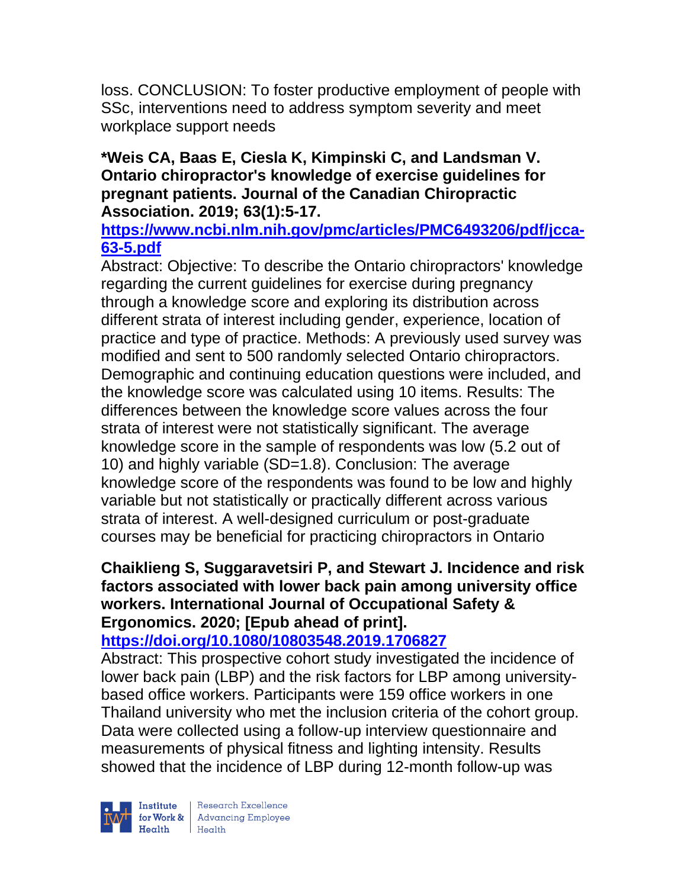loss. CONCLUSION: To foster productive employment of people with SSc, interventions need to address symptom severity and meet workplace support needs

### **\*Weis CA, Baas E, Ciesla K, Kimpinski C, and Landsman V. Ontario chiropractor's knowledge of exercise guidelines for pregnant patients. Journal of the Canadian Chiropractic Association. 2019; 63(1):5-17.**

**[https://www.ncbi.nlm.nih.gov/pmc/articles/PMC6493206/pdf/jcca-](https://www.ncbi.nlm.nih.gov/pmc/articles/PMC6493206/pdf/jcca-63-5.pdf)[63-5.pdf](https://www.ncbi.nlm.nih.gov/pmc/articles/PMC6493206/pdf/jcca-63-5.pdf)**

Abstract: Objective: To describe the Ontario chiropractors' knowledge regarding the current guidelines for exercise during pregnancy through a knowledge score and exploring its distribution across different strata of interest including gender, experience, location of practice and type of practice. Methods: A previously used survey was modified and sent to 500 randomly selected Ontario chiropractors. Demographic and continuing education questions were included, and the knowledge score was calculated using 10 items. Results: The differences between the knowledge score values across the four strata of interest were not statistically significant. The average knowledge score in the sample of respondents was low (5.2 out of 10) and highly variable (SD=1.8). Conclusion: The average knowledge score of the respondents was found to be low and highly variable but not statistically or practically different across various strata of interest. A well-designed curriculum or post-graduate courses may be beneficial for practicing chiropractors in Ontario

# **Chaiklieng S, Suggaravetsiri P, and Stewart J. Incidence and risk factors associated with lower back pain among university office workers. International Journal of Occupational Safety & Ergonomics. 2020; [Epub ahead of print].**

# **<https://doi.org/10.1080/10803548.2019.1706827>**

Abstract: This prospective cohort study investigated the incidence of lower back pain (LBP) and the risk factors for LBP among universitybased office workers. Participants were 159 office workers in one Thailand university who met the inclusion criteria of the cohort group. Data were collected using a follow-up interview questionnaire and measurements of physical fitness and lighting intensity. Results showed that the incidence of LBP during 12-month follow-up was



| Research Excellence **Example 18 Advancing Employee**<br> **Health** Health<br>
Health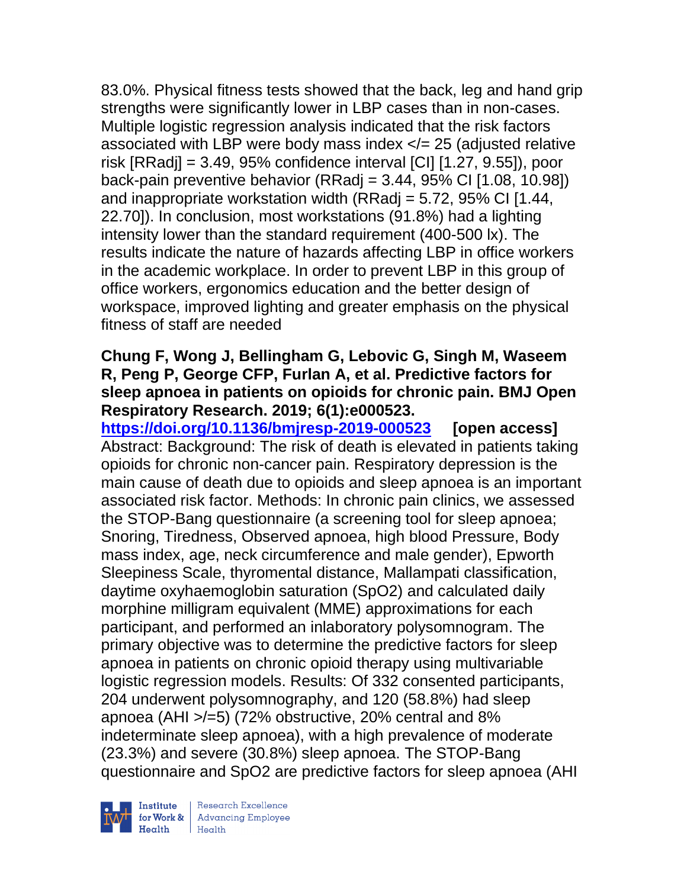83.0%. Physical fitness tests showed that the back, leg and hand grip strengths were significantly lower in LBP cases than in non-cases. Multiple logistic regression analysis indicated that the risk factors associated with LBP were body mass index  $\lt$  = 25 (adjusted relative risk  $[RRadi] = 3.49, 95\%$  confidence interval  $[CI]$   $[1.27, 9.55]$ , poor back-pain preventive behavior (RRadj =  $3.44$ ,  $95\%$  CI  $[1.08, 10.98]$ ) and inappropriate workstation width (RRadj = 5.72, 95% CI [1.44, 22.70]). In conclusion, most workstations (91.8%) had a lighting intensity lower than the standard requirement (400-500 lx). The results indicate the nature of hazards affecting LBP in office workers in the academic workplace. In order to prevent LBP in this group of office workers, ergonomics education and the better design of workspace, improved lighting and greater emphasis on the physical fitness of staff are needed

## **Chung F, Wong J, Bellingham G, Lebovic G, Singh M, Waseem R, Peng P, George CFP, Furlan A, et al. Predictive factors for sleep apnoea in patients on opioids for chronic pain. BMJ Open Respiratory Research. 2019; 6(1):e000523.**

**<https://doi.org/10.1136/bmjresp-2019-000523> [open access]** Abstract: Background: The risk of death is elevated in patients taking opioids for chronic non-cancer pain. Respiratory depression is the main cause of death due to opioids and sleep apnoea is an important associated risk factor. Methods: In chronic pain clinics, we assessed the STOP-Bang questionnaire (a screening tool for sleep apnoea; Snoring, Tiredness, Observed apnoea, high blood Pressure, Body mass index, age, neck circumference and male gender), Epworth Sleepiness Scale, thyromental distance, Mallampati classification, daytime oxyhaemoglobin saturation (SpO2) and calculated daily morphine milligram equivalent (MME) approximations for each participant, and performed an inlaboratory polysomnogram. The primary objective was to determine the predictive factors for sleep apnoea in patients on chronic opioid therapy using multivariable logistic regression models. Results: Of 332 consented participants, 204 underwent polysomnography, and 120 (58.8%) had sleep apnoea (AHI >/=5) (72% obstructive, 20% central and 8% indeterminate sleep apnoea), with a high prevalence of moderate (23.3%) and severe (30.8%) sleep apnoea. The STOP-Bang questionnaire and SpO2 are predictive factors for sleep apnoea (AHI

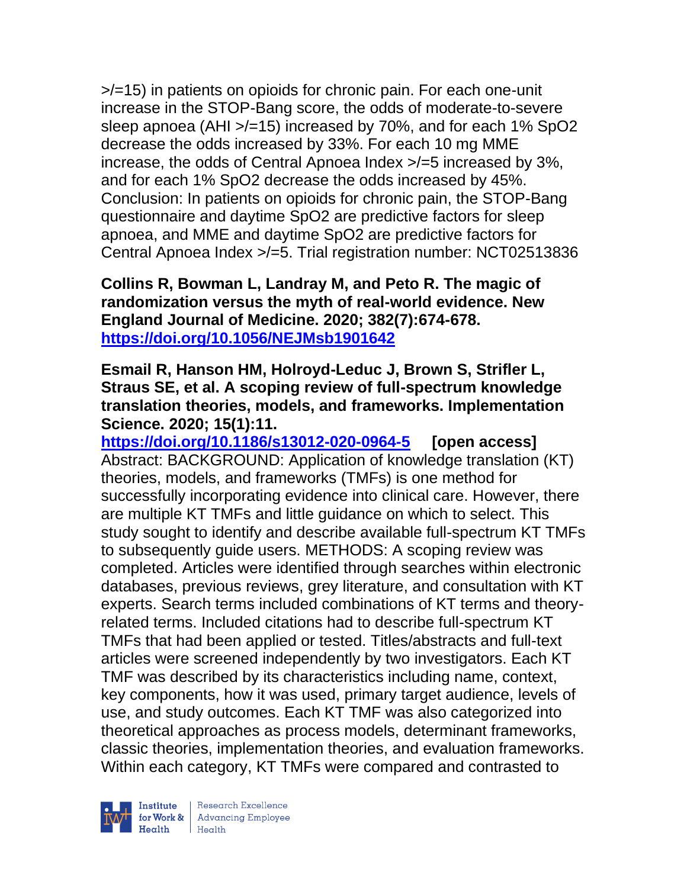>/=15) in patients on opioids for chronic pain. For each one-unit increase in the STOP-Bang score, the odds of moderate-to-severe sleep apnoea (AHI >/=15) increased by 70%, and for each 1% SpO2 decrease the odds increased by 33%. For each 10 mg MME increase, the odds of Central Apnoea Index >/=5 increased by 3%, and for each 1% SpO2 decrease the odds increased by 45%. Conclusion: In patients on opioids for chronic pain, the STOP-Bang questionnaire and daytime SpO2 are predictive factors for sleep apnoea, and MME and daytime SpO2 are predictive factors for Central Apnoea Index >/=5. Trial registration number: NCT02513836

**Collins R, Bowman L, Landray M, and Peto R. The magic of randomization versus the myth of real-world evidence. New England Journal of Medicine. 2020; 382(7):674-678. <https://doi.org/10.1056/NEJMsb1901642>** 

#### **Esmail R, Hanson HM, Holroyd-Leduc J, Brown S, Strifler L, Straus SE, et al. A scoping review of full-spectrum knowledge translation theories, models, and frameworks. Implementation Science. 2020; 15(1):11.**

**<https://doi.org/10.1186/s13012-020-0964-5> [open access]** Abstract: BACKGROUND: Application of knowledge translation (KT) theories, models, and frameworks (TMFs) is one method for successfully incorporating evidence into clinical care. However, there are multiple KT TMFs and little guidance on which to select. This study sought to identify and describe available full-spectrum KT TMFs to subsequently guide users. METHODS: A scoping review was completed. Articles were identified through searches within electronic databases, previous reviews, grey literature, and consultation with KT experts. Search terms included combinations of KT terms and theoryrelated terms. Included citations had to describe full-spectrum KT TMFs that had been applied or tested. Titles/abstracts and full-text articles were screened independently by two investigators. Each KT TMF was described by its characteristics including name, context, key components, how it was used, primary target audience, levels of use, and study outcomes. Each KT TMF was also categorized into theoretical approaches as process models, determinant frameworks, classic theories, implementation theories, and evaluation frameworks. Within each category, KT TMFs were compared and contrasted to

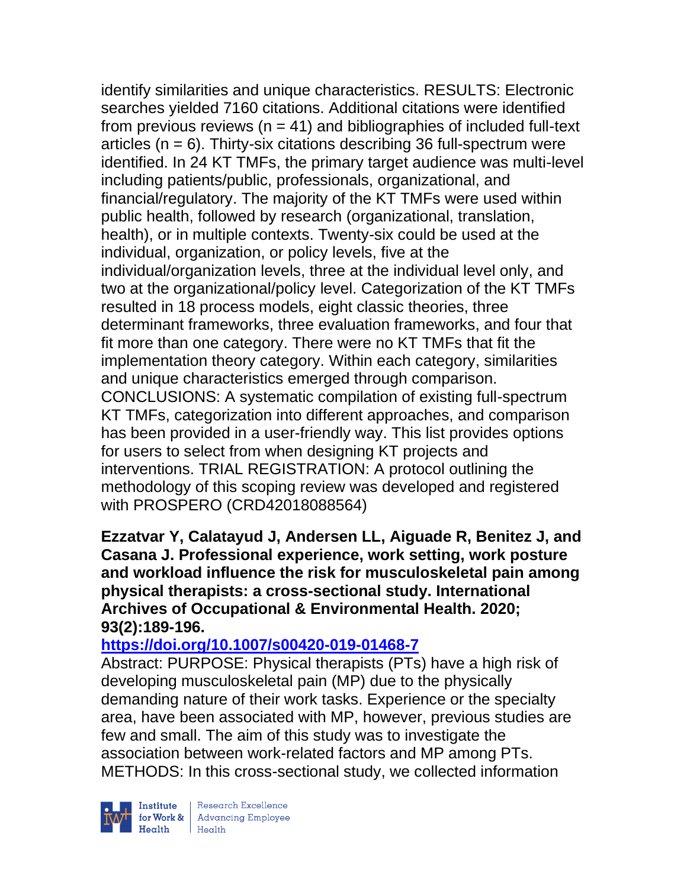identify similarities and unique characteristics. RESULTS: Electronic searches yielded 7160 citations. Additional citations were identified from previous reviews ( $n = 41$ ) and bibliographies of included full-text articles  $(n = 6)$ . Thirty-six citations describing 36 full-spectrum were identified. In 24 KT TMFs, the primary target audience was multi-level including patients/public, professionals, organizational, and financial/regulatory. The majority of the KT TMFs were used within public health, followed by research (organizational, translation, health), or in multiple contexts. Twenty-six could be used at the individual, organization, or policy levels, five at the individual/organization levels, three at the individual level only, and two at the organizational/policy level. Categorization of the KT TMFs resulted in 18 process models, eight classic theories, three determinant frameworks, three evaluation frameworks, and four that fit more than one category. There were no KT TMFs that fit the implementation theory category. Within each category, similarities and unique characteristics emerged through comparison. CONCLUSIONS: A systematic compilation of existing full-spectrum KT TMFs, categorization into different approaches, and comparison has been provided in a user-friendly way. This list provides options for users to select from when designing KT projects and interventions. TRIAL REGISTRATION: A protocol outlining the methodology of this scoping review was developed and registered with PROSPERO (CRD42018088564)

**Ezzatvar Y, Calatayud J, Andersen LL, Aiguade R, Benitez J, and Casana J. Professional experience, work setting, work posture and workload influence the risk for musculoskeletal pain among physical therapists: a cross-sectional study. International Archives of Occupational & Environmental Health. 2020; 93(2):189-196.** 

### **<https://doi.org/10.1007/s00420-019-01468-7>**

Abstract: PURPOSE: Physical therapists (PTs) have a high risk of developing musculoskeletal pain (MP) due to the physically demanding nature of their work tasks. Experience or the specialty area, have been associated with MP, however, previous studies are few and small. The aim of this study was to investigate the association between work-related factors and MP among PTs. METHODS: In this cross-sectional study, we collected information



 $\begin{tabular}{|l|} Institute & Research Excellence \\ \hline for Work & Advancing Employee \\ Health & Health \\ \end{tabular}$ | Research Excellence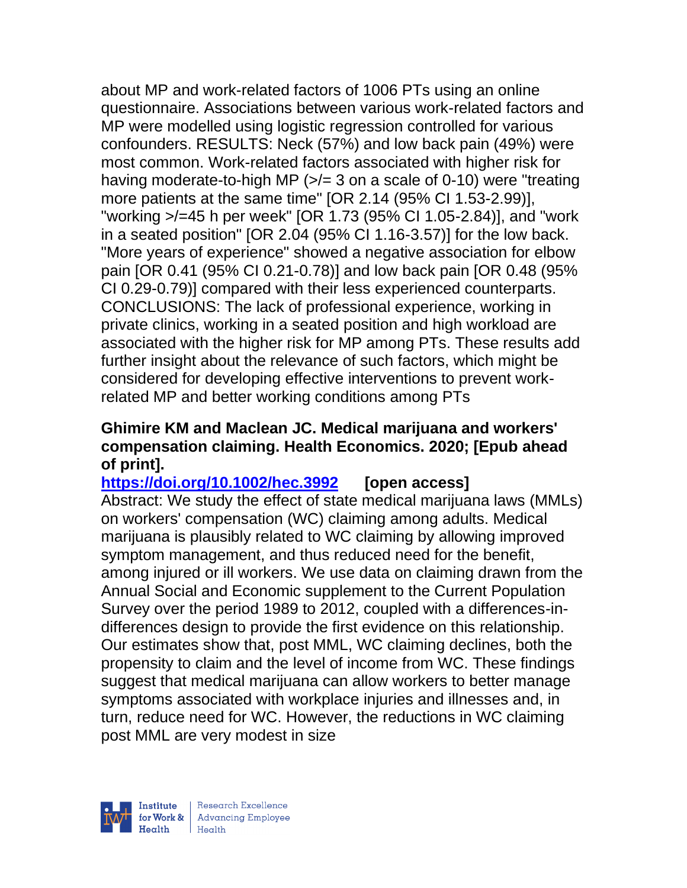about MP and work-related factors of 1006 PTs using an online questionnaire. Associations between various work-related factors and MP were modelled using logistic regression controlled for various confounders. RESULTS: Neck (57%) and low back pain (49%) were most common. Work-related factors associated with higher risk for having moderate-to-high MP  $\left(\frac{p}{n}\right)$  on a scale of 0-10) were "treating more patients at the same time" [OR 2.14 (95% CI 1.53-2.99)], "working >/=45 h per week" [OR 1.73 (95% CI 1.05-2.84)], and "work in a seated position" [OR 2.04 (95% CI 1.16-3.57)] for the low back. "More years of experience" showed a negative association for elbow pain [OR 0.41 (95% CI 0.21-0.78)] and low back pain [OR 0.48 (95% CI 0.29-0.79)] compared with their less experienced counterparts. CONCLUSIONS: The lack of professional experience, working in private clinics, working in a seated position and high workload are associated with the higher risk for MP among PTs. These results add further insight about the relevance of such factors, which might be considered for developing effective interventions to prevent workrelated MP and better working conditions among PTs

### **Ghimire KM and Maclean JC. Medical marijuana and workers' compensation claiming. Health Economics. 2020; [Epub ahead of print].**

**<https://doi.org/10.1002/hec.3992> [open access]** Abstract: We study the effect of state medical marijuana laws (MMLs) on workers' compensation (WC) claiming among adults. Medical marijuana is plausibly related to WC claiming by allowing improved symptom management, and thus reduced need for the benefit, among injured or ill workers. We use data on claiming drawn from the Annual Social and Economic supplement to the Current Population Survey over the period 1989 to 2012, coupled with a differences-indifferences design to provide the first evidence on this relationship. Our estimates show that, post MML, WC claiming declines, both the propensity to claim and the level of income from WC. These findings suggest that medical marijuana can allow workers to better manage symptoms associated with workplace injuries and illnesses and, in turn, reduce need for WC. However, the reductions in WC claiming post MML are very modest in size

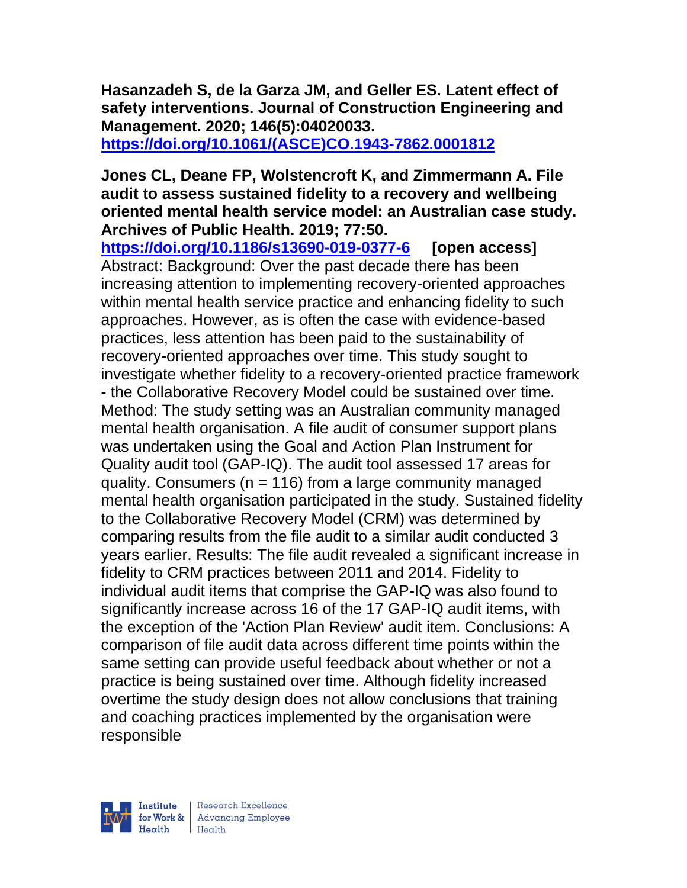**Hasanzadeh S, de la Garza JM, and Geller ES. Latent effect of safety interventions. Journal of Construction Engineering and Management. 2020; 146(5):04020033.**

**[https://doi.org/10.1061/\(ASCE\)CO.1943-7862.0001812](https://doi.org/10.1061/(ASCE)CO.1943-7862.0001812)** 

#### **Jones CL, Deane FP, Wolstencroft K, and Zimmermann A. File audit to assess sustained fidelity to a recovery and wellbeing oriented mental health service model: an Australian case study. Archives of Public Health. 2019; 77:50.**

**<https://doi.org/10.1186/s13690-019-0377-6> [open access]** Abstract: Background: Over the past decade there has been increasing attention to implementing recovery-oriented approaches within mental health service practice and enhancing fidelity to such approaches. However, as is often the case with evidence-based practices, less attention has been paid to the sustainability of recovery-oriented approaches over time. This study sought to investigate whether fidelity to a recovery-oriented practice framework - the Collaborative Recovery Model could be sustained over time. Method: The study setting was an Australian community managed mental health organisation. A file audit of consumer support plans was undertaken using the Goal and Action Plan Instrument for Quality audit tool (GAP-IQ). The audit tool assessed 17 areas for quality. Consumers ( $n = 116$ ) from a large community managed mental health organisation participated in the study. Sustained fidelity to the Collaborative Recovery Model (CRM) was determined by comparing results from the file audit to a similar audit conducted 3 years earlier. Results: The file audit revealed a significant increase in fidelity to CRM practices between 2011 and 2014. Fidelity to individual audit items that comprise the GAP-IQ was also found to significantly increase across 16 of the 17 GAP-IQ audit items, with the exception of the 'Action Plan Review' audit item. Conclusions: A comparison of file audit data across different time points within the same setting can provide useful feedback about whether or not a practice is being sustained over time. Although fidelity increased overtime the study design does not allow conclusions that training and coaching practices implemented by the organisation were responsible

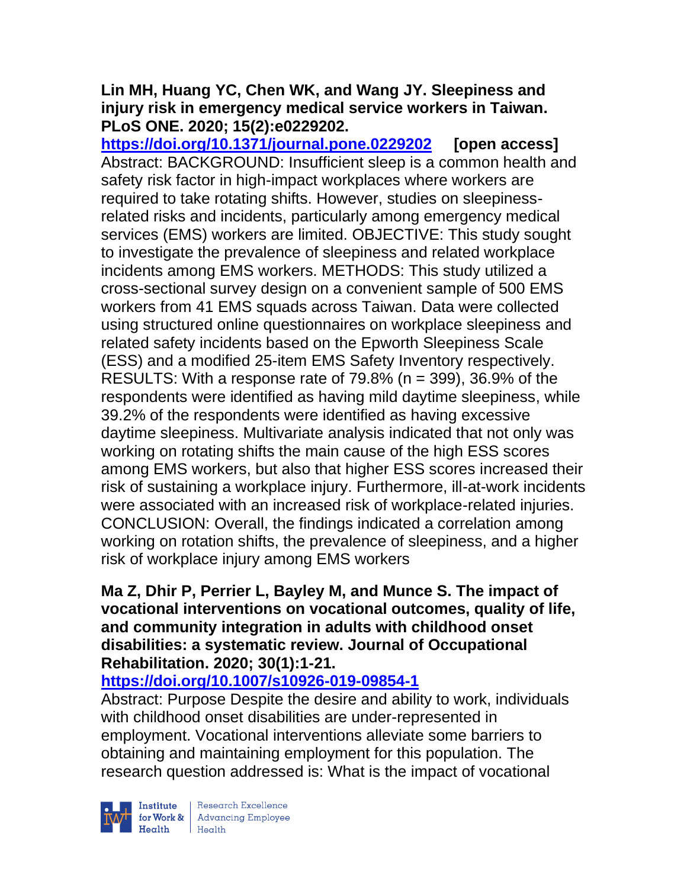### **Lin MH, Huang YC, Chen WK, and Wang JY. Sleepiness and injury risk in emergency medical service workers in Taiwan. PLoS ONE. 2020; 15(2):e0229202.**

**<https://doi.org/10.1371/journal.pone.0229202> [open access]** Abstract: BACKGROUND: Insufficient sleep is a common health and safety risk factor in high-impact workplaces where workers are required to take rotating shifts. However, studies on sleepinessrelated risks and incidents, particularly among emergency medical services (EMS) workers are limited. OBJECTIVE: This study sought to investigate the prevalence of sleepiness and related workplace incidents among EMS workers. METHODS: This study utilized a cross-sectional survey design on a convenient sample of 500 EMS workers from 41 EMS squads across Taiwan. Data were collected using structured online questionnaires on workplace sleepiness and related safety incidents based on the Epworth Sleepiness Scale (ESS) and a modified 25-item EMS Safety Inventory respectively. RESULTS: With a response rate of  $79.8\%$  (n = 399), 36.9% of the respondents were identified as having mild daytime sleepiness, while 39.2% of the respondents were identified as having excessive daytime sleepiness. Multivariate analysis indicated that not only was working on rotating shifts the main cause of the high ESS scores among EMS workers, but also that higher ESS scores increased their risk of sustaining a workplace injury. Furthermore, ill-at-work incidents were associated with an increased risk of workplace-related injuries. CONCLUSION: Overall, the findings indicated a correlation among working on rotation shifts, the prevalence of sleepiness, and a higher risk of workplace injury among EMS workers

# **Ma Z, Dhir P, Perrier L, Bayley M, and Munce S. The impact of vocational interventions on vocational outcomes, quality of life, and community integration in adults with childhood onset disabilities: a systematic review. Journal of Occupational Rehabilitation. 2020; 30(1):1-21.**

# **<https://doi.org/10.1007/s10926-019-09854-1>**

Abstract: Purpose Despite the desire and ability to work, individuals with childhood onset disabilities are under-represented in employment. Vocational interventions alleviate some barriers to obtaining and maintaining employment for this population. The research question addressed is: What is the impact of vocational

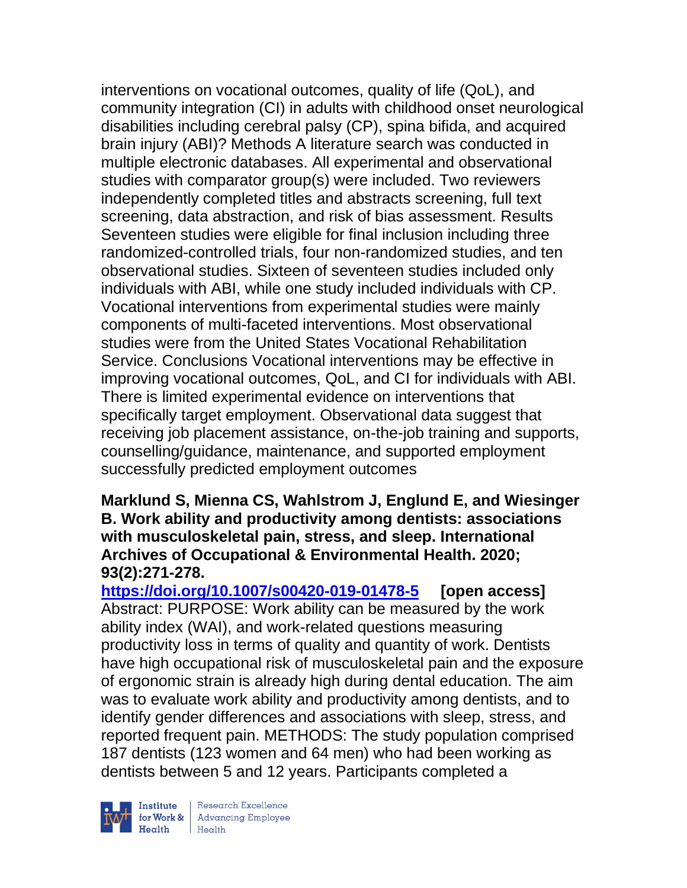interventions on vocational outcomes, quality of life (QoL), and community integration (CI) in adults with childhood onset neurological disabilities including cerebral palsy (CP), spina bifida, and acquired brain injury (ABI)? Methods A literature search was conducted in multiple electronic databases. All experimental and observational studies with comparator group(s) were included. Two reviewers independently completed titles and abstracts screening, full text screening, data abstraction, and risk of bias assessment. Results Seventeen studies were eligible for final inclusion including three randomized-controlled trials, four non-randomized studies, and ten observational studies. Sixteen of seventeen studies included only individuals with ABI, while one study included individuals with CP. Vocational interventions from experimental studies were mainly components of multi-faceted interventions. Most observational studies were from the United States Vocational Rehabilitation Service. Conclusions Vocational interventions may be effective in improving vocational outcomes, QoL, and CI for individuals with ABI. There is limited experimental evidence on interventions that specifically target employment. Observational data suggest that receiving job placement assistance, on-the-job training and supports, counselling/guidance, maintenance, and supported employment successfully predicted employment outcomes

#### **Marklund S, Mienna CS, Wahlstrom J, Englund E, and Wiesinger B. Work ability and productivity among dentists: associations with musculoskeletal pain, stress, and sleep. International Archives of Occupational & Environmental Health. 2020; 93(2):271-278.**

**<https://doi.org/10.1007/s00420-019-01478-5> [open access]** Abstract: PURPOSE: Work ability can be measured by the work ability index (WAI), and work-related questions measuring productivity loss in terms of quality and quantity of work. Dentists have high occupational risk of musculoskeletal pain and the exposure of ergonomic strain is already high during dental education. The aim was to evaluate work ability and productivity among dentists, and to identify gender differences and associations with sleep, stress, and reported frequent pain. METHODS: The study population comprised 187 dentists (123 women and 64 men) who had been working as dentists between 5 and 12 years. Participants completed a



| Research Excellence **Institute** Research Excellence<br> **Fractional Advancing Employee**<br> **Health** Health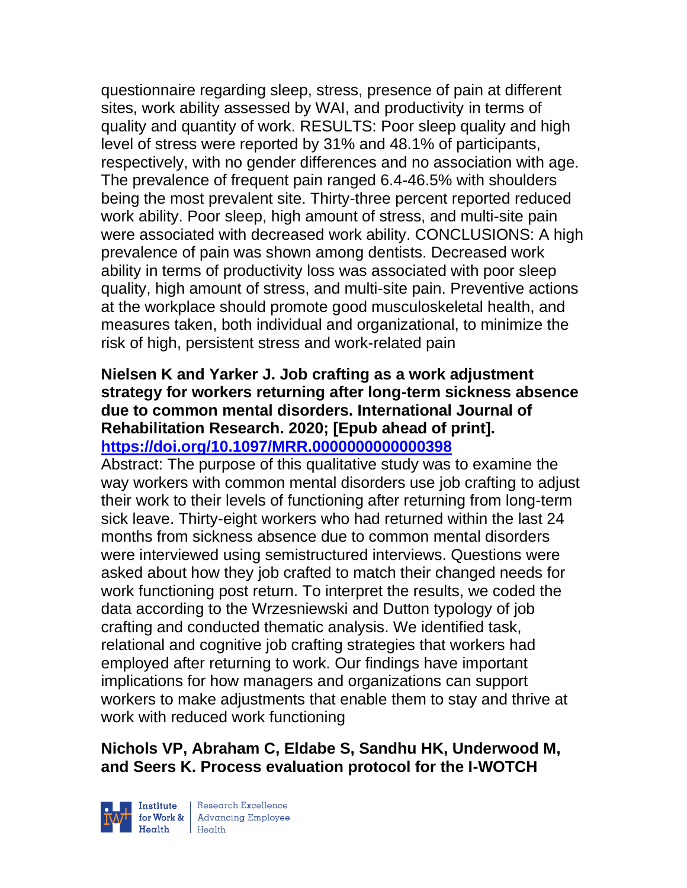questionnaire regarding sleep, stress, presence of pain at different sites, work ability assessed by WAI, and productivity in terms of quality and quantity of work. RESULTS: Poor sleep quality and high level of stress were reported by 31% and 48.1% of participants, respectively, with no gender differences and no association with age. The prevalence of frequent pain ranged 6.4-46.5% with shoulders being the most prevalent site. Thirty-three percent reported reduced work ability. Poor sleep, high amount of stress, and multi-site pain were associated with decreased work ability. CONCLUSIONS: A high prevalence of pain was shown among dentists. Decreased work ability in terms of productivity loss was associated with poor sleep quality, high amount of stress, and multi-site pain. Preventive actions at the workplace should promote good musculoskeletal health, and measures taken, both individual and organizational, to minimize the risk of high, persistent stress and work-related pain

# **Nielsen K and Yarker J. Job crafting as a work adjustment strategy for workers returning after long-term sickness absence due to common mental disorders. International Journal of Rehabilitation Research. 2020; [Epub ahead of print]. <https://doi.org/10.1097/MRR.0000000000000398>**

Abstract: The purpose of this qualitative study was to examine the way workers with common mental disorders use job crafting to adjust their work to their levels of functioning after returning from long-term sick leave. Thirty-eight workers who had returned within the last 24 months from sickness absence due to common mental disorders were interviewed using semistructured interviews. Questions were asked about how they job crafted to match their changed needs for work functioning post return. To interpret the results, we coded the data according to the Wrzesniewski and Dutton typology of job crafting and conducted thematic analysis. We identified task, relational and cognitive job crafting strategies that workers had employed after returning to work. Our findings have important implications for how managers and organizations can support workers to make adjustments that enable them to stay and thrive at work with reduced work functioning

# **Nichols VP, Abraham C, Eldabe S, Sandhu HK, Underwood M, and Seers K. Process evaluation protocol for the I-WOTCH**



| Research Excellence for Work & Advancing Employee<br>Health Health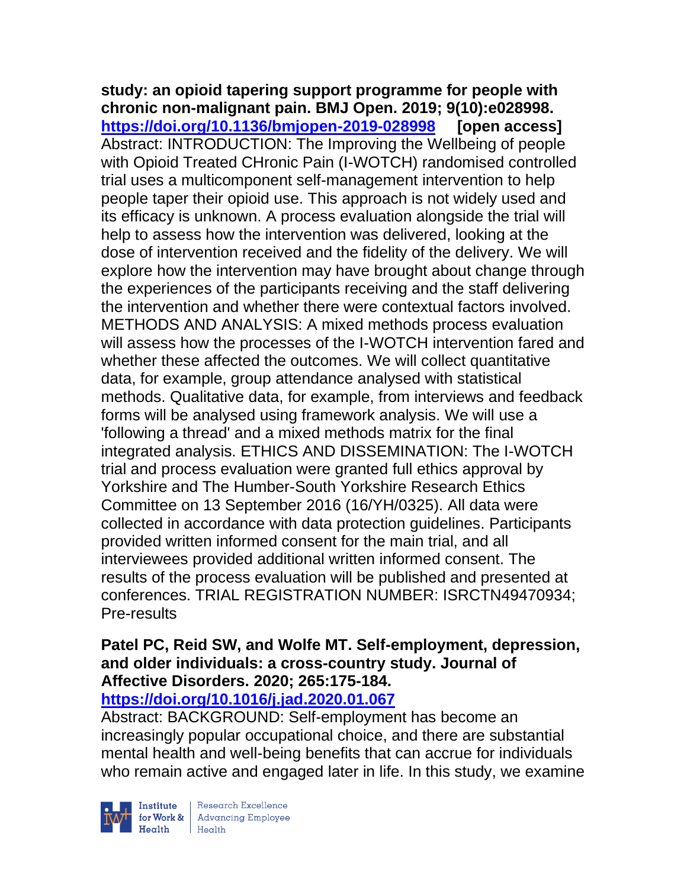**study: an opioid tapering support programme for people with chronic non-malignant pain. BMJ Open. 2019; 9(10):e028998. <https://doi.org/10.1136/bmjopen-2019-028998> [open access]** Abstract: INTRODUCTION: The Improving the Wellbeing of people with Opioid Treated CHronic Pain (I-WOTCH) randomised controlled trial uses a multicomponent self-management intervention to help people taper their opioid use. This approach is not widely used and its efficacy is unknown. A process evaluation alongside the trial will help to assess how the intervention was delivered, looking at the dose of intervention received and the fidelity of the delivery. We will explore how the intervention may have brought about change through the experiences of the participants receiving and the staff delivering the intervention and whether there were contextual factors involved. METHODS AND ANALYSIS: A mixed methods process evaluation will assess how the processes of the I-WOTCH intervention fared and whether these affected the outcomes. We will collect quantitative data, for example, group attendance analysed with statistical methods. Qualitative data, for example, from interviews and feedback forms will be analysed using framework analysis. We will use a 'following a thread' and a mixed methods matrix for the final integrated analysis. ETHICS AND DISSEMINATION: The I-WOTCH trial and process evaluation were granted full ethics approval by Yorkshire and The Humber-South Yorkshire Research Ethics Committee on 13 September 2016 (16/YH/0325). All data were collected in accordance with data protection guidelines. Participants provided written informed consent for the main trial, and all interviewees provided additional written informed consent. The results of the process evaluation will be published and presented at conferences. TRIAL REGISTRATION NUMBER: ISRCTN49470934; Pre-results

# **Patel PC, Reid SW, and Wolfe MT. Self-employment, depression, and older individuals: a cross-country study. Journal of Affective Disorders. 2020; 265:175-184.**

# **<https://doi.org/10.1016/j.jad.2020.01.067>**

Abstract: BACKGROUND: Self-employment has become an increasingly popular occupational choice, and there are substantial mental health and well-being benefits that can accrue for individuals who remain active and engaged later in life. In this study, we examine

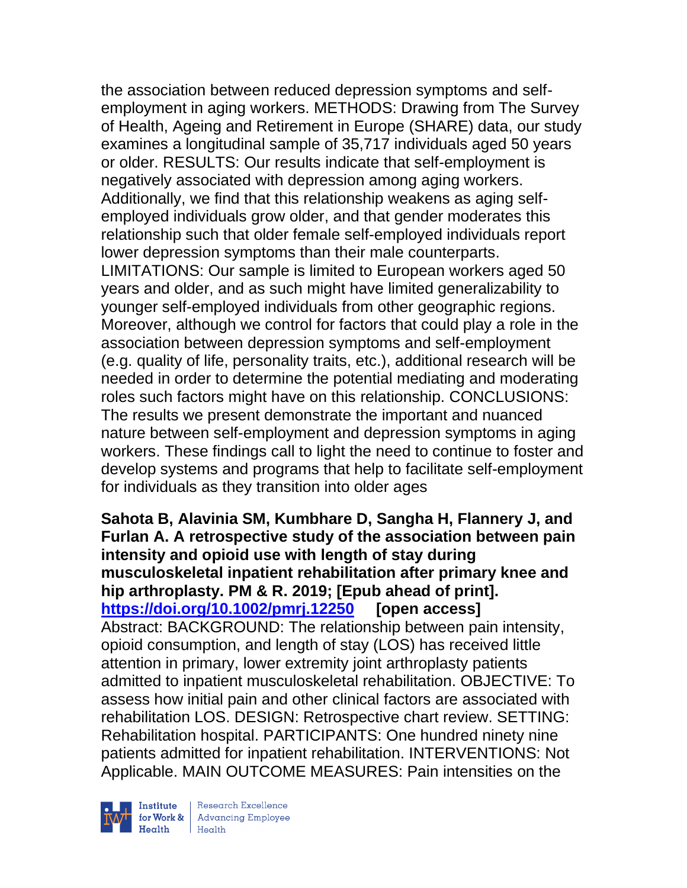the association between reduced depression symptoms and selfemployment in aging workers. METHODS: Drawing from The Survey of Health, Ageing and Retirement in Europe (SHARE) data, our study examines a longitudinal sample of 35,717 individuals aged 50 years or older. RESULTS: Our results indicate that self-employment is negatively associated with depression among aging workers. Additionally, we find that this relationship weakens as aging selfemployed individuals grow older, and that gender moderates this relationship such that older female self-employed individuals report lower depression symptoms than their male counterparts. LIMITATIONS: Our sample is limited to European workers aged 50 years and older, and as such might have limited generalizability to younger self-employed individuals from other geographic regions. Moreover, although we control for factors that could play a role in the association between depression symptoms and self-employment (e.g. quality of life, personality traits, etc.), additional research will be needed in order to determine the potential mediating and moderating roles such factors might have on this relationship. CONCLUSIONS: The results we present demonstrate the important and nuanced nature between self-employment and depression symptoms in aging workers. These findings call to light the need to continue to foster and develop systems and programs that help to facilitate self-employment for individuals as they transition into older ages

**Sahota B, Alavinia SM, Kumbhare D, Sangha H, Flannery J, and Furlan A. A retrospective study of the association between pain intensity and opioid use with length of stay during musculoskeletal inpatient rehabilitation after primary knee and hip arthroplasty. PM & R. 2019; [Epub ahead of print]. <https://doi.org/10.1002/pmrj.12250> [open access]**  Abstract: BACKGROUND: The relationship between pain intensity, opioid consumption, and length of stay (LOS) has received little attention in primary, lower extremity joint arthroplasty patients admitted to inpatient musculoskeletal rehabilitation. OBJECTIVE: To assess how initial pain and other clinical factors are associated with rehabilitation LOS. DESIGN: Retrospective chart review. SETTING: Rehabilitation hospital. PARTICIPANTS: One hundred ninety nine patients admitted for inpatient rehabilitation. INTERVENTIONS: Not Applicable. MAIN OUTCOME MEASURES: Pain intensities on the

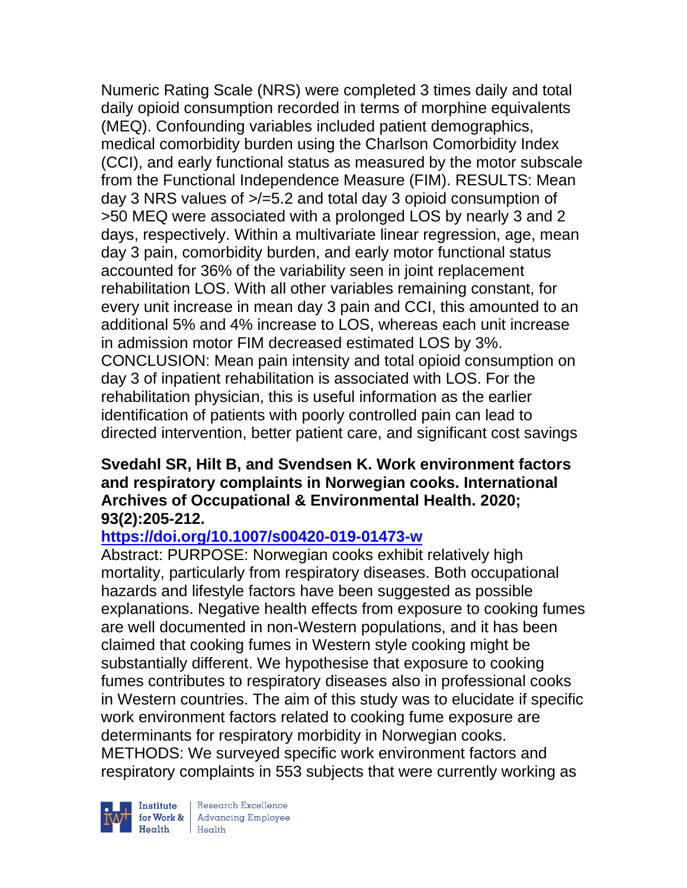Numeric Rating Scale (NRS) were completed 3 times daily and total daily opioid consumption recorded in terms of morphine equivalents (MEQ). Confounding variables included patient demographics, medical comorbidity burden using the Charlson Comorbidity Index (CCI), and early functional status as measured by the motor subscale from the Functional Independence Measure (FIM). RESULTS: Mean day 3 NRS values of >/=5.2 and total day 3 opioid consumption of >50 MEQ were associated with a prolonged LOS by nearly 3 and 2 days, respectively. Within a multivariate linear regression, age, mean day 3 pain, comorbidity burden, and early motor functional status accounted for 36% of the variability seen in joint replacement rehabilitation LOS. With all other variables remaining constant, for every unit increase in mean day 3 pain and CCI, this amounted to an additional 5% and 4% increase to LOS, whereas each unit increase in admission motor FIM decreased estimated LOS by 3%. CONCLUSION: Mean pain intensity and total opioid consumption on day 3 of inpatient rehabilitation is associated with LOS. For the rehabilitation physician, this is useful information as the earlier identification of patients with poorly controlled pain can lead to directed intervention, better patient care, and significant cost savings

### **Svedahl SR, Hilt B, and Svendsen K. Work environment factors and respiratory complaints in Norwegian cooks. International Archives of Occupational & Environmental Health. 2020; 93(2):205-212.**

# **<https://doi.org/10.1007/s00420-019-01473-w>**

Abstract: PURPOSE: Norwegian cooks exhibit relatively high mortality, particularly from respiratory diseases. Both occupational hazards and lifestyle factors have been suggested as possible explanations. Negative health effects from exposure to cooking fumes are well documented in non-Western populations, and it has been claimed that cooking fumes in Western style cooking might be substantially different. We hypothesise that exposure to cooking fumes contributes to respiratory diseases also in professional cooks in Western countries. The aim of this study was to elucidate if specific work environment factors related to cooking fume exposure are determinants for respiratory morbidity in Norwegian cooks. METHODS: We surveyed specific work environment factors and respiratory complaints in 553 subjects that were currently working as



Institute Research Excellence<br>
for Work & Advancing Employee<br>
Health Health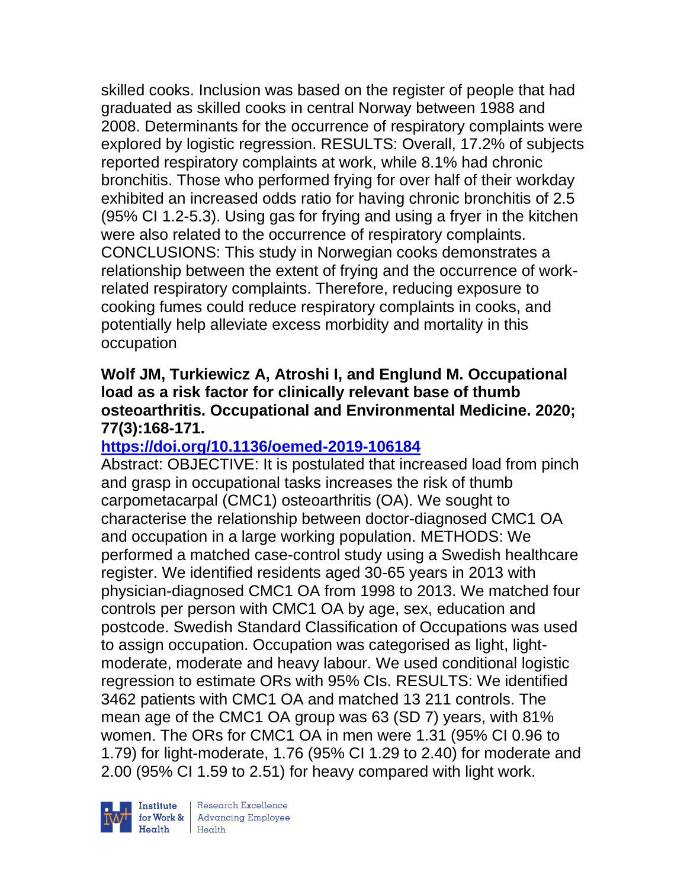skilled cooks. Inclusion was based on the register of people that had graduated as skilled cooks in central Norway between 1988 and 2008. Determinants for the occurrence of respiratory complaints were explored by logistic regression. RESULTS: Overall, 17.2% of subjects reported respiratory complaints at work, while 8.1% had chronic bronchitis. Those who performed frying for over half of their workday exhibited an increased odds ratio for having chronic bronchitis of 2.5 (95% CI 1.2-5.3). Using gas for frying and using a fryer in the kitchen were also related to the occurrence of respiratory complaints. CONCLUSIONS: This study in Norwegian cooks demonstrates a relationship between the extent of frying and the occurrence of workrelated respiratory complaints. Therefore, reducing exposure to cooking fumes could reduce respiratory complaints in cooks, and potentially help alleviate excess morbidity and mortality in this occupation

### **Wolf JM, Turkiewicz A, Atroshi I, and Englund M. Occupational load as a risk factor for clinically relevant base of thumb osteoarthritis. Occupational and Environmental Medicine. 2020; 77(3):168-171.**

# **<https://doi.org/10.1136/oemed-2019-106184>**

Abstract: OBJECTIVE: It is postulated that increased load from pinch and grasp in occupational tasks increases the risk of thumb carpometacarpal (CMC1) osteoarthritis (OA). We sought to characterise the relationship between doctor-diagnosed CMC1 OA and occupation in a large working population. METHODS: We performed a matched case-control study using a Swedish healthcare register. We identified residents aged 30-65 years in 2013 with physician-diagnosed CMC1 OA from 1998 to 2013. We matched four controls per person with CMC1 OA by age, sex, education and postcode. Swedish Standard Classification of Occupations was used to assign occupation. Occupation was categorised as light, lightmoderate, moderate and heavy labour. We used conditional logistic regression to estimate ORs with 95% CIs. RESULTS: We identified 3462 patients with CMC1 OA and matched 13 211 controls. The mean age of the CMC1 OA group was 63 (SD 7) years, with 81% women. The ORs for CMC1 OA in men were 1.31 (95% CI 0.96 to 1.79) for light-moderate, 1.76 (95% CI 1.29 to 2.40) for moderate and 2.00 (95% CI 1.59 to 2.51) for heavy compared with light work.